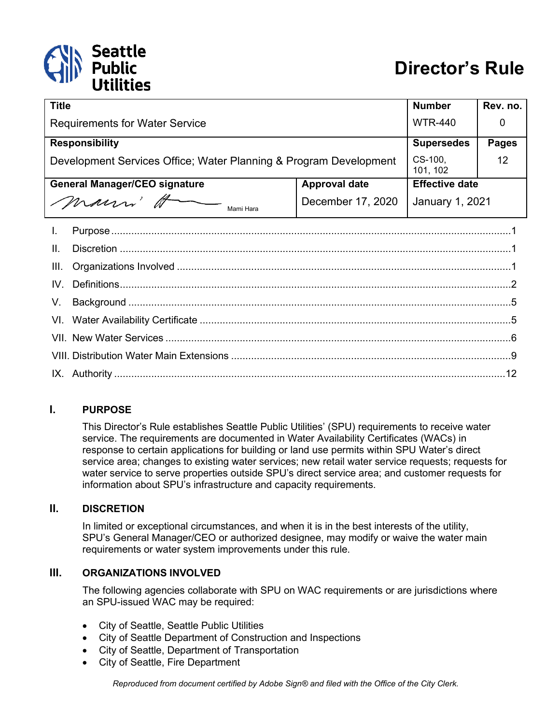# Seattle<br>Public

| <b>Title</b>                                                      |                   | <b>Number</b>         | Rev. no.     |
|-------------------------------------------------------------------|-------------------|-----------------------|--------------|
| <b>Requirements for Water Service</b>                             |                   | <b>WTR-440</b>        | O            |
| <b>Responsibility</b>                                             |                   | <b>Supersedes</b>     | <b>Pages</b> |
| Development Services Office; Water Planning & Program Development |                   | CS-100,<br>101, 102   | 12           |
| <b>General Manager/CEO signature</b><br><b>Approval date</b>      |                   | <b>Effective date</b> |              |
| mann H<br>Mami Hara                                               | December 17, 2020 | January 1, 2021       |              |
| I.                                                                |                   |                       |              |
| Ш.                                                                |                   |                       |              |
| III.                                                              |                   |                       |              |
| IV.                                                               |                   |                       |              |
| V.                                                                |                   |                       |              |
| VI.                                                               |                   |                       |              |
|                                                                   |                   |                       |              |
|                                                                   |                   |                       |              |
|                                                                   |                   |                       |              |
|                                                                   |                   |                       |              |

#### <span id="page-0-0"></span>**I. PURPOSE**

This Director's Rule establishes Seattle Public Utilities' (SPU) requirements to receive water service. The requirements are documented in Water Availability Certificates (WACs) in response to certain applications for building or land use permits within SPU Water's direct service area; changes to existing water services; new retail water service requests; requests for water service to serve properties outside SPU's direct service area; and customer requests for information about SPU's infrastructure and capacity requirements.

#### <span id="page-0-1"></span>**II. DISCRETION**

In limited or exceptional circumstances, and when it is in the best interests of the utility, SPU's General Manager/CEO or authorized designee, may modify or waive the water main requirements or water system improvements under this rule.

#### <span id="page-0-2"></span>**III. ORGANIZATIONS INVOLVED**

The following agencies collaborate with SPU on WAC requirements or are jurisdictions where an SPU-issued WAC may be required:

- City of Seattle, Seattle Public Utilities
- City of Seattle Department of Construction and Inspections
- City of Seattle, Department of Transportation
- City of Seattle, Fire Department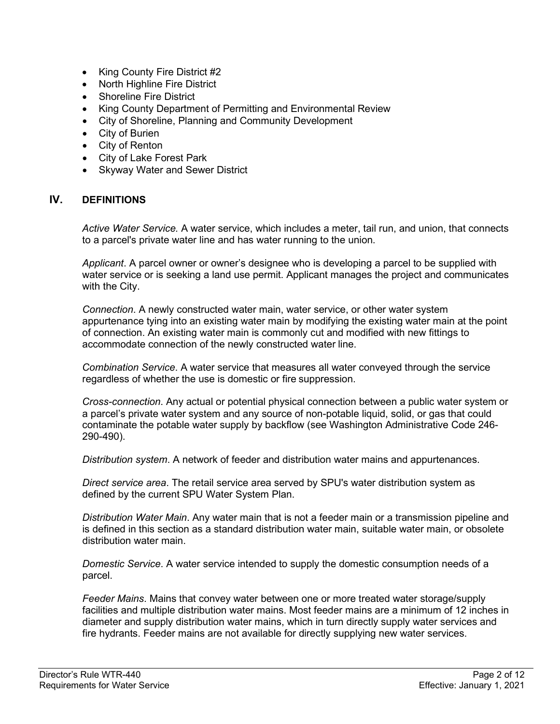- King County Fire District #2
- North Highline Fire District
- Shoreline Fire District
- King County Department of Permitting and Environmental Review
- City of Shoreline, Planning and Community Development
- City of Burien
- City of Renton
- City of Lake Forest Park
- Skyway Water and Sewer District

#### <span id="page-1-0"></span>**IV. DEFINITIONS**

*Active Water Service.* A water service, which includes a meter, tail run, and union, that connects to a parcel's private water line and has water running to the union.

*Applicant*. A parcel owner or owner's designee who is developing a parcel to be supplied with water service or is seeking a land use permit. Applicant manages the project and communicates with the City.

*Connection*. A newly constructed water main, water service, or other water system appurtenance tying into an existing water main by modifying the existing water main at the point of connection. An existing water main is commonly cut and modified with new fittings to accommodate connection of the newly constructed water line.

*Combination Service*. A water service that measures all water conveyed through the service regardless of whether the use is domestic or fire suppression.

*Cross-connection*. Any actual or potential physical connection between a public water system or a parcel's private water system and any source of non-potable liquid, solid, or gas that could contaminate the potable water supply by backflow (see Washington Administrative Code 246- 290-490).

*Distribution system*. A network of feeder and distribution water mains and appurtenances.

*Direct service area*. The retail service area served by SPU's water distribution system as defined by the current SPU Water System Plan.

*Distribution Water Main*. Any water main that is not a feeder main or a transmission pipeline and is defined in this section as a standard distribution water main, suitable water main, or obsolete distribution water main.

*Domestic Service*. A water service intended to supply the domestic consumption needs of a parcel.

*Feeder Mains*. Mains that convey water between one or more treated water storage/supply facilities and multiple distribution water mains. Most feeder mains are a minimum of 12 inches in diameter and supply distribution water mains, which in turn directly supply water services and fire hydrants. Feeder mains are not available for directly supplying new water services.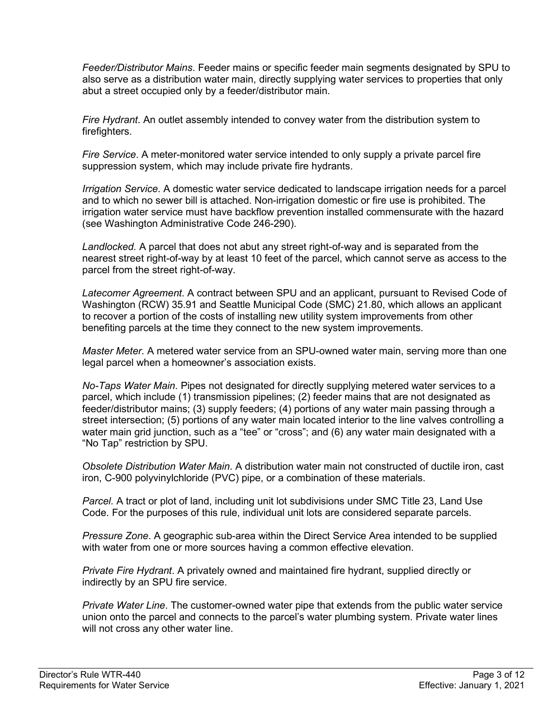*Feeder/Distributor Mains*. Feeder mains or specific feeder main segments designated by SPU to also serve as a distribution water main, directly supplying water services to properties that only abut a street occupied only by a feeder/distributor main.

*Fire Hydrant*. An outlet assembly intended to convey water from the distribution system to firefighters.

*Fire Service*. A meter-monitored water service intended to only supply a private parcel fire suppression system, which may include private fire hydrants.

*Irrigation Service*. A domestic water service dedicated to landscape irrigation needs for a parcel and to which no sewer bill is attached. Non-irrigation domestic or fire use is prohibited. The irrigation water service must have backflow prevention installed commensurate with the hazard (see Washington Administrative Code 246-290).

*Landlocked.* A parcel that does not abut any street right-of-way and is separated from the nearest street right-of-way by at least 10 feet of the parcel, which cannot serve as access to the parcel from the street right-of-way.

*Latecomer Agreement*. A contract between SPU and an applicant, pursuant to Revised Code of Washington (RCW) 35.91 and Seattle Municipal Code (SMC) 21.80, which allows an applicant to recover a portion of the costs of installing new utility system improvements from other benefiting parcels at the time they connect to the new system improvements.

*Master Meter*. A metered water service from an SPU-owned water main, serving more than one legal parcel when a homeowner's association exists.

*No-Taps Water Main*. Pipes not designated for directly supplying metered water services to a parcel, which include (1) transmission pipelines; (2) feeder mains that are not designated as feeder/distributor mains; (3) supply feeders; (4) portions of any water main passing through a street intersection; (5) portions of any water main located interior to the line valves controlling a water main grid junction, such as a "tee" or "cross"; and (6) any water main designated with a "No Tap" restriction by SPU.

*Obsolete Distribution Water Main*. A distribution water main not constructed of ductile iron, cast iron, C-900 polyvinylchloride (PVC) pipe, or a combination of these materials.

*Parcel.* A tract or plot of land, including unit lot subdivisions under SMC Title 23, Land Use Code. For the purposes of this rule, individual unit lots are considered separate parcels.

*Pressure Zone*. A geographic sub-area within the Direct Service Area intended to be supplied with water from one or more sources having a common effective elevation.

*Private Fire Hydrant*. A privately owned and maintained fire hydrant, supplied directly or indirectly by an SPU fire service.

*Private Water Line*. The customer-owned water pipe that extends from the public water service union onto the parcel and connects to the parcel's water plumbing system. Private water lines will not cross any other water line.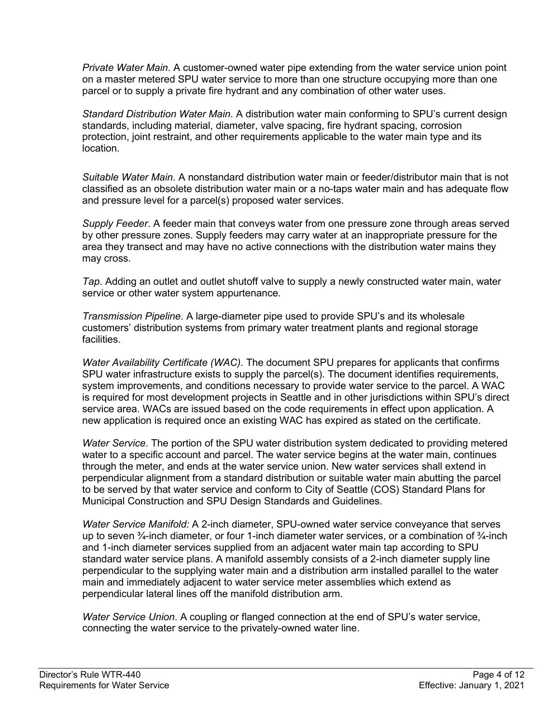*Private Water Main*. A customer-owned water pipe extending from the water service union point on a master metered SPU water service to more than one structure occupying more than one parcel or to supply a private fire hydrant and any combination of other water uses.

*Standard Distribution Water Main*. A distribution water main conforming to SPU's current design standards, including material, diameter, valve spacing, fire hydrant spacing, corrosion protection, joint restraint, and other requirements applicable to the water main type and its location.

*Suitable Water Main*. A nonstandard distribution water main or feeder/distributor main that is not classified as an obsolete distribution water main or a no-taps water main and has adequate flow and pressure level for a parcel(s) proposed water services.

*Supply Feeder*. A feeder main that conveys water from one pressure zone through areas served by other pressure zones. Supply feeders may carry water at an inappropriate pressure for the area they transect and may have no active connections with the distribution water mains they may cross.

*Tap*. Adding an outlet and outlet shutoff valve to supply a newly constructed water main, water service or other water system appurtenance.

*Transmission Pipeline*. A large-diameter pipe used to provide SPU's and its wholesale customers' distribution systems from primary water treatment plants and regional storage facilities.

*Water Availability Certificate (WAC)*. The document SPU prepares for applicants that confirms SPU water infrastructure exists to supply the parcel(s). The document identifies requirements, system improvements, and conditions necessary to provide water service to the parcel. A WAC is required for most development projects in Seattle and in other jurisdictions within SPU's direct service area. WACs are issued based on the code requirements in effect upon application. A new application is required once an existing WAC has expired as stated on the certificate.

*Water Service*. The portion of the SPU water distribution system dedicated to providing metered water to a specific account and parcel. The water service begins at the water main, continues through the meter, and ends at the water service union. New water services shall extend in perpendicular alignment from a standard distribution or suitable water main abutting the parcel to be served by that water service and conform to City of Seattle (COS) Standard Plans for Municipal Construction and SPU Design Standards and Guidelines.

*Water Service Manifold:* A 2-inch diameter, SPU-owned water service conveyance that serves up to seven  $\frac{3}{4}$ -inch diameter, or four 1-inch diameter water services, or a combination of  $\frac{3}{4}$ -inch and 1-inch diameter services supplied from an adjacent water main tap according to SPU standard water service plans. A manifold assembly consists of a 2-inch diameter supply line perpendicular to the supplying water main and a distribution arm installed parallel to the water main and immediately adjacent to water service meter assemblies which extend as perpendicular lateral lines off the manifold distribution arm.

*Water Service Union*. A coupling or flanged connection at the end of SPU's water service, connecting the water service to the privately-owned water line.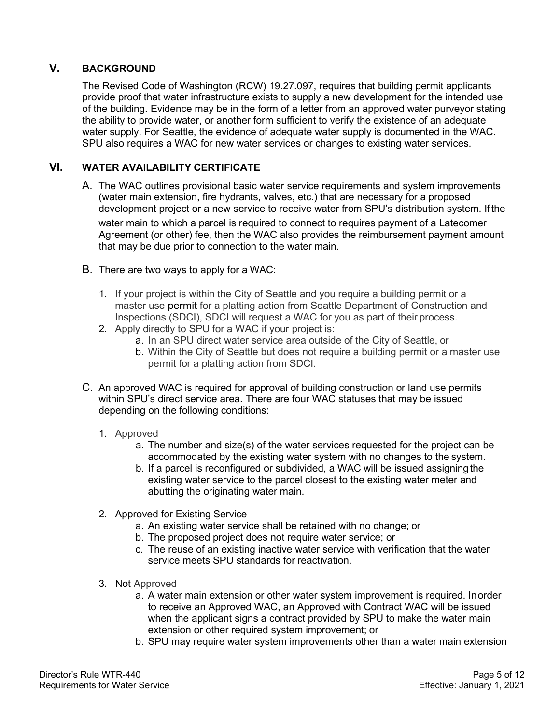## <span id="page-4-0"></span>**V. BACKGROUND**

The Revised Code of Washington (RCW) 19.27.097, requires that building permit applicants provide proof that water infrastructure exists to supply a new development for the intended use of the building. Evidence may be in the form of a letter from an approved water purveyor stating the ability to provide water, or another form sufficient to verify the existence of an adequate water supply. For Seattle, the evidence of adequate water supply is documented in the WAC. SPU also requires a WAC for new water services or changes to existing water services.

#### <span id="page-4-1"></span>**VI. WATER AVAILABILITY CERTIFICATE**

- A. The WAC outlines provisional basic water service requirements and system improvements (water main extension, fire hydrants, valves, etc.) that are necessary for a proposed development project or a new service to receive water from SPU's distribution system. Ifthe water main to which a parcel is required to connect to requires payment of a Latecomer Agreement (or other) fee, then the WAC also provides the reimbursement payment amount that may be due prior to connection to the water main.
- B. There are two ways to apply for a WAC:
	- 1. If your project is within the City of Seattle and you require a building permit or a master use permit for a platting action from Seattle Department of Construction and Inspections (SDCI), SDCI will request a WAC for you as part of their process.
	- 2. Apply directly to SPU for a WAC if your project is:
		- a. In an SPU direct water service area outside of the City of Seattle, or
		- b. Within the City of Seattle but does not require a building permit or a master use permit for a platting action from SDCI.
- C. An approved WAC is required for approval of building construction or land use permits within SPU's direct service area. There are four WAC statuses that may be issued depending on the following conditions:
	- 1. Approved
		- a. The number and size(s) of the water services requested for the project can be accommodated by the existing water system with no changes to the system.
		- b. If a parcel is reconfigured or subdivided, a WAC will be issued assigningthe existing water service to the parcel closest to the existing water meter and abutting the originating water main.
	- 2. Approved for Existing Service
		- a. An existing water service shall be retained with no change; or
		- b. The proposed project does not require water service; or
		- c. The reuse of an existing inactive water service with verification that the water service meets SPU standards for reactivation.
	- 3. Not Approved
		- a. A water main extension or other water system improvement is required. Inorder to receive an Approved WAC, an Approved with Contract WAC will be issued when the applicant signs a contract provided by SPU to make the water main extension or other required system improvement; or
		- b. SPU may require water system improvements other than a water main extension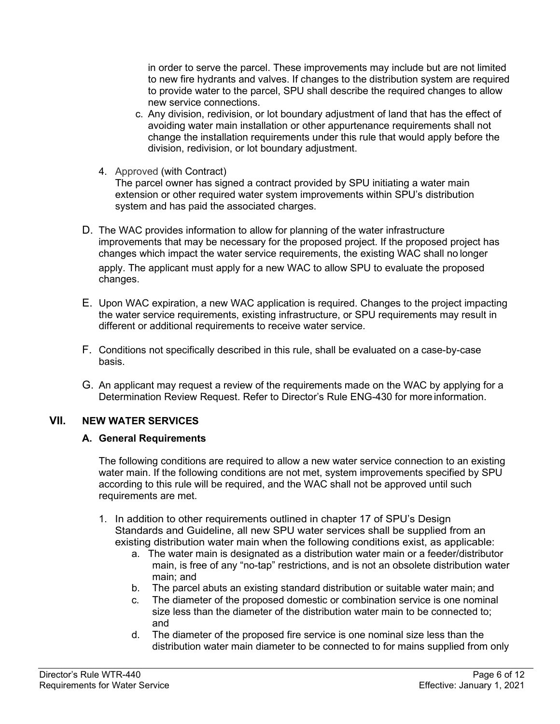in order to serve the parcel. These improvements may include but are not limited to new fire hydrants and valves. If changes to the distribution system are required to provide water to the parcel, SPU shall describe the required changes to allow new service connections.

- c. Any division, redivision, or lot boundary adjustment of land that has the effect of avoiding water main installation or other appurtenance requirements shall not change the installation requirements under this rule that would apply before the division, redivision, or lot boundary adjustment.
- 4. Approved (with Contract)

The parcel owner has signed a contract provided by SPU initiating a water main extension or other required water system improvements within SPU's distribution system and has paid the associated charges.

- D. The WAC provides information to allow for planning of the water infrastructure improvements that may be necessary for the proposed project. If the proposed project has changes which impact the water service requirements, the existing WAC shall no longer apply. The applicant must apply for a new WAC to allow SPU to evaluate the proposed changes.
- E. Upon WAC expiration, a new WAC application is required. Changes to the project impacting the water service requirements, existing infrastructure, or SPU requirements may result in different or additional requirements to receive water service.
- F. Conditions not specifically described in this rule, shall be evaluated on a case-by-case basis.
- G. An applicant may request a review of the requirements made on the WAC by applying for [a](http://www.seattle.gov/util/cs/groups/public/%40spu/%40dso/documents/webcontent/01_032179.pdf) [Determination Review Request.](http://www.seattle.gov/util/cs/groups/public/%40spu/%40dso/documents/webcontent/01_032179.pdf) Refer to Director's Rule [ENG-430 f](http://spuwebcms/cs/groups/public/%40spuweb/%40policy/documents/webcontent/1_041680.pdf)or more information.

## <span id="page-5-0"></span>**VII. NEW WATER SERVICES**

#### **A. General Requirements**

The following conditions are required to allow a new water service connection to an existing water main. If the following conditions are not met, system improvements specified by SPU according to this rule will be required, and the WAC shall not be approved until such requirements are met.

- 1. In addition to other requirements outlined in chapter 17 of SPU's Design Standards and Guideline, all new SPU water services shall be supplied from an existing distribution water main when the following conditions exist, as applicable:
	- a. The water main is designated as a distribution water main or a feeder/distributor main, is free of any "no-tap" restrictions, and is not an obsolete distribution water main; and
	- b. The parcel abuts an existing standard distribution or suitable water main; and
	- c. The diameter of the proposed domestic or combination service is one nominal size less than the diameter of the distribution water main to be connected to; and
	- d. The diameter of the proposed fire service is one nominal size less than the distribution water main diameter to be connected to for mains supplied from only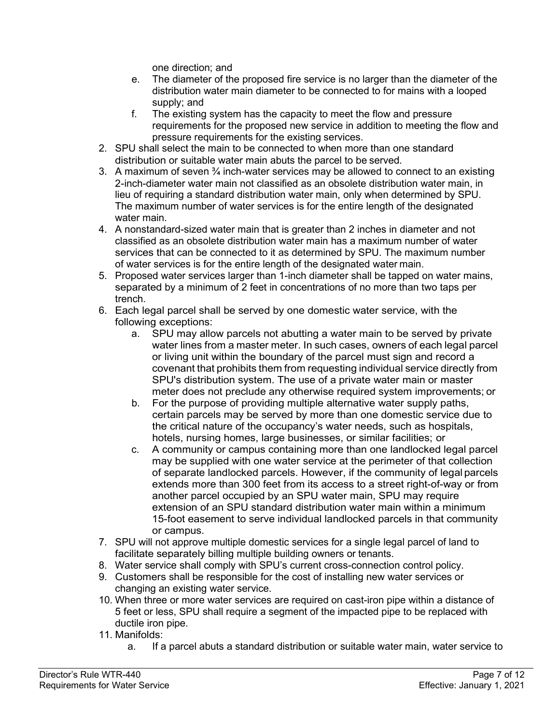one direction; and

- e. The diameter of the proposed fire service is no larger than the diameter of the distribution water main diameter to be connected to for mains with a looped supply; and
- f. The existing system has the capacity to meet the flow and pressure requirements for the proposed new service in addition to meeting the flow and pressure requirements for the existing services.
- 2. SPU shall select the main to be connected to when more than one standard distribution or suitable water main abuts the parcel to be served.
- 3. A maximum of seven  $\frac{3}{4}$  inch-water services may be allowed to connect to an existing 2-inch-diameter water main not classified as an obsolete distribution water main, in lieu of requiring a standard distribution water main, only when determined by SPU. The maximum number of water services is for the entire length of the designated water main.
- 4. A nonstandard-sized water main that is greater than 2 inches in diameter and not classified as an obsolete distribution water main has a maximum number of water services that can be connected to it as determined by SPU. The maximum number of water services is for the entire length of the designated water main.
- 5. Proposed water services larger than 1-inch diameter shall be tapped on water mains, separated by a minimum of 2 feet in concentrations of no more than two taps per trench.
- 6. Each legal parcel shall be served by one domestic water service, with the following exceptions:
	- a. SPU may allow parcels not abutting a water main to be served by private water lines from a master meter. In such cases, owners of each legal parcel or living unit within the boundary of the parcel must sign and record a covenant that prohibits them from requesting individual service directly from SPU's distribution system. The use of a private water main or master meter does not preclude any otherwise required system improvements; or
	- b. For the purpose of providing multiple alternative water supply paths, certain parcels may be served by more than one domestic service due to the critical nature of the occupancy's water needs, such as hospitals, hotels, nursing homes, large businesses, or similar facilities; or
	- c. A community or campus containing more than one landlocked legal parcel may be supplied with one water service at the perimeter of that collection of separate landlocked parcels. However, if the community of legal parcels extends more than 300 feet from its access to a street right-of-way or from another parcel occupied by an SPU water main, SPU may require extension of an SPU standard distribution water main within a minimum 15-foot easement to serve individual landlocked parcels in that community or campus.
- 7. SPU will not approve multiple domestic services for a single legal parcel of land to facilitate separately billing multiple building owners or tenants.
- 8. Water service shall comply with SPU's current cross-connection control policy.
- 9. Customers shall be responsible for the cost of installing new water services or changing an existing water service.
- 10. When three or more water services are required on cast-iron pipe within a distance of 5 feet or less, SPU shall require a segment of the impacted pipe to be replaced with ductile iron pipe.
- 11. Manifolds:
	- a. If a parcel abuts a standard distribution or suitable water main, water service to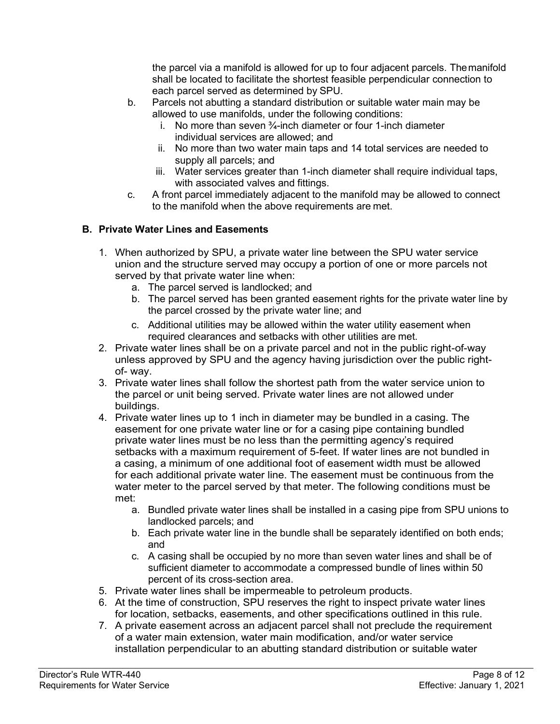the parcel via a manifold is allowed for up to four adjacent parcels. Themanifold shall be located to facilitate the shortest feasible perpendicular connection to each parcel served as determined by SPU.

- b. Parcels not abutting a standard distribution or suitable water main may be allowed to use manifolds, under the following conditions:
	- i. No more than seven  $\frac{3}{4}$ -inch diameter or four 1-inch diameter individual services are allowed; and
	- ii. No more than two water main taps and 14 total services are needed to supply all parcels; and
	- iii. Water services greater than 1-inch diameter shall require individual taps, with associated valves and fittings.
- c. A front parcel immediately adjacent to the manifold may be allowed to connect to the manifold when the above requirements are met.

## **B. Private Water Lines and Easements**

- 1. When authorized by SPU, a private water line between the SPU water service union and the structure served may occupy a portion of one or more parcels not served by that private water line when:
	- a. The parcel served is landlocked; and
	- b. The parcel served has been granted easement rights for the private water line by the parcel crossed by the private water line; and
	- c. Additional utilities may be allowed within the water utility easement when required clearances and setbacks with other utilities are met.
- 2. Private water lines shall be on a private parcel and not in the public right-of-way unless approved by SPU and the agency having jurisdiction over the public rightof- way.
- 3. Private water lines shall follow the shortest path from the water service union to the parcel or unit being served. Private water lines are not allowed under buildings.
- 4. Private water lines up to 1 inch in diameter may be bundled in a casing. The easement for one private water line or for a casing pipe containing bundled private water lines must be no less than the permitting agency's required setbacks with a maximum requirement of 5-feet. If water lines are not bundled in a casing, a minimum of one additional foot of easement width must be allowed for each additional private water line. The easement must be continuous from the water meter to the parcel served by that meter. The following conditions must be met:
	- a. Bundled private water lines shall be installed in a casing pipe from SPU unions to landlocked parcels; and
	- b. Each private water line in the bundle shall be separately identified on both ends; and
	- c. A casing shall be occupied by no more than seven water lines and shall be of sufficient diameter to accommodate a compressed bundle of lines within 50 percent of its cross-section area.
- 5. Private water lines shall be impermeable to petroleum products.
- 6. At the time of construction, SPU reserves the right to inspect private water lines for location, setbacks, easements, and other specifications outlined in this rule.
- 7. A private easement across an adjacent parcel shall not preclude the requirement of a water main extension, water main modification, and/or water service installation perpendicular to an abutting standard distribution or suitable water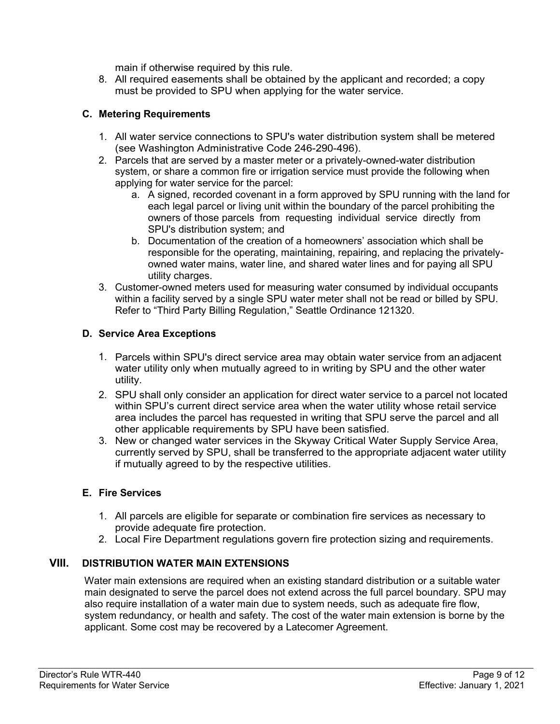main if otherwise required by this rule.

8. All required easements shall be obtained by the applicant and recorded; a copy must be provided to SPU when applying for the water service.

#### **C. Metering Requirements**

- 1. All water service connections to SPU's water distribution system shall be metered (see Washington Administrative Code 246-290-496).
- 2. Parcels that are served by a master meter or a privately-owned-water distribution system, or share a common fire or irrigation service must provide the following when applying for water service for the parcel:
	- a. A signed, recorded covenant in a form approved by SPU running with the land for each legal parcel or living unit within the boundary of the parcel prohibiting the owners of those parcels from requesting individual service directly from SPU's distribution system; and
	- b. Documentation of the creation of a homeowners' association which shall be responsible for the operating, maintaining, repairing, and replacing the privatelyowned water mains, water line, and shared water lines and for paying all SPU utility charges.
- 3. Customer-owned meters used for measuring water consumed by individual occupants within a facility served by a single SPU water meter shall not be read or billed by SPU. Refer to "Third Party Billing Regulation," Seattle Ordinance 121320.

#### **D. Service Area Exceptions**

- 1. Parcels within SPU's direct service area may obtain water service from an adjacent water utility only when mutually agreed to in writing by SPU and the other water utility.
- 2. SPU shall only consider an application for direct water service to a parcel not located within SPU's current direct service area when the water utility whose retail service area includes the parcel has requested in writing that SPU serve the parcel and all other applicable requirements by SPU have been satisfied.
- 3. New or changed water services in the Skyway Critical Water Supply Service Area, currently served by SPU, shall be transferred to the appropriate adjacent water utility if mutually agreed to by the respective utilities.

#### **E. Fire Services**

- 1. All parcels are eligible for separate or combination fire services as necessary to provide adequate fire protection.
- 2. Local Fire Department regulations govern fire protection sizing and requirements.

#### <span id="page-8-0"></span>**VIII. DISTRIBUTION WATER MAIN EXTENSIONS**

Water main extensions are required when an existing standard distribution or a suitable water main designated to serve the parcel does not extend across the full parcel boundary. SPU may also require installation of a water main due to system needs, such as adequate fire flow, system redundancy, or health and safety. The cost of the water main extension is borne by the applicant. Some cost may be recovered by a Latecomer Agreement.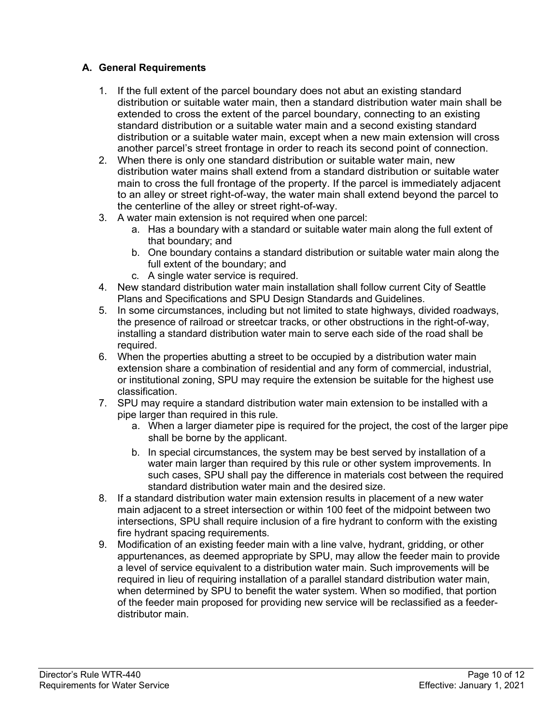## **A. General Requirements**

- 1. If the full extent of the parcel boundary does not abut an existing standard distribution or suitable water main, then a standard distribution water main shall be extended to cross the extent of the parcel boundary, connecting to an existing standard distribution or a suitable water main and a second existing standard distribution or a suitable water main, except when a new main extension will cross another parcel's street frontage in order to reach its second point of connection.
- 2. When there is only one standard distribution or suitable water main, new distribution water mains shall extend from a standard distribution or suitable water main to cross the full frontage of the property. If the parcel is immediately adjacent to an alley or street right-of-way, the water main shall extend beyond the parcel to the centerline of the alley or street right-of-way.
- 3. A water main extension is not required when one parcel:
	- a. Has a boundary with a standard or suitable water main along the full extent of that boundary; and
	- b. One boundary contains a standard distribution or suitable water main along the full extent of the boundary; and
	- c. A single water service is required.
- 4. New standard distribution water main installation shall follow current City of Seattle Plans and Specifications and SPU Design Standards and Guidelines.
- 5. In some circumstances, including but not limited to state highways, divided roadways, the presence of railroad or streetcar tracks, or other obstructions in the right-of-way, installing a standard distribution water main to serve each side of the road shall be required.
- 6. When the properties abutting a street to be occupied by a distribution water main extension share a combination of residential and any form of commercial, industrial, or institutional zoning, SPU may require the extension be suitable for the highest use classification.
- 7. SPU may require a standard distribution water main extension to be installed with a pipe larger than required in this rule.
	- a. When a larger diameter pipe is required for the project, the cost of the larger pipe shall be borne by the applicant.
	- b. In special circumstances, the system may be best served by installation of a water main larger than required by this rule or other system improvements. In such cases, SPU shall pay the difference in materials cost between the required standard distribution water main and the desired size.
- 8. If a standard distribution water main extension results in placement of a new water main adjacent to a street intersection or within 100 feet of the midpoint between two intersections, SPU shall require inclusion of a fire hydrant to conform with the existing fire hydrant spacing requirements.
- 9. Modification of an existing feeder main with a line valve, hydrant, gridding, or other appurtenances, as deemed appropriate by SPU, may allow the feeder main to provide a level of service equivalent to a distribution water main. Such improvements will be required in lieu of requiring installation of a parallel standard distribution water main, when determined by SPU to benefit the water system. When so modified, that portion of the feeder main proposed for providing new service will be reclassified as a feederdistributor main.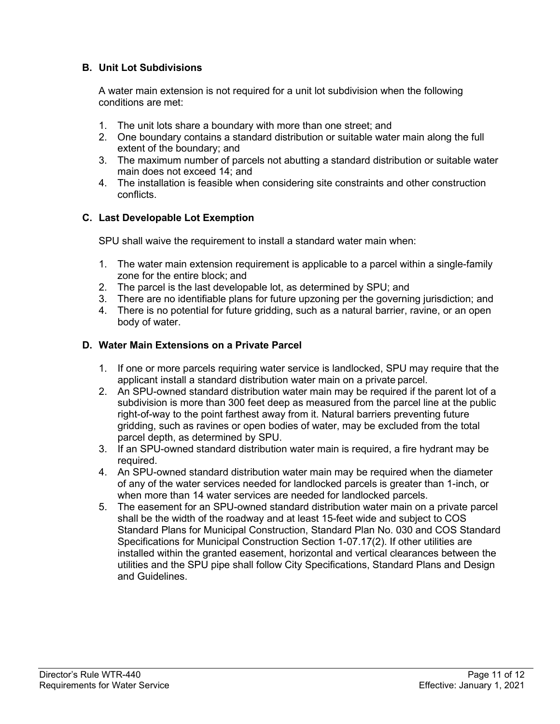## **B. Unit Lot Subdivisions**

A water main extension is not required for a unit lot subdivision when the following conditions are met:

- 1. The unit lots share a boundary with more than one street; and
- 2. One boundary contains a standard distribution or suitable water main along the full extent of the boundary; and
- 3. The maximum number of parcels not abutting a standard distribution or suitable water main does not exceed 14; and
- 4. The installation is feasible when considering site constraints and other construction conflicts.

#### **C. Last Developable Lot Exemption**

SPU shall waive the requirement to install a standard water main when:

- 1. The water main extension requirement is applicable to a parcel within a single-family zone for the entire block; and
- 2. The parcel is the last developable lot, as determined by SPU; and
- 3. There are no identifiable plans for future upzoning per the governing jurisdiction; and
- 4. There is no potential for future gridding, such as a natural barrier, ravine, or an open body of water.

#### **D. Water Main Extensions on a Private Parcel**

- 1. If one or more parcels requiring water service is landlocked, SPU may require that the applicant install a standard distribution water main on a private parcel.
- 2. An SPU-owned standard distribution water main may be required if the parent lot of a subdivision is more than 300 feet deep as measured from the parcel line at the public right-of-way to the point farthest away from it. Natural barriers preventing future gridding, such as ravines or open bodies of water, may be excluded from the total parcel depth, as determined by SPU.
- 3. If an SPU-owned standard distribution water main is required, a fire hydrant may be required.
- 4. An SPU-owned standard distribution water main may be required when the diameter of any of the water services needed for landlocked parcels is greater than 1-inch, or when more than 14 water services are needed for landlocked parcels.
- 5. The easement for an SPU-owned standard distribution water main on a private parcel shall be the width of the roadway and at least 15-feet wide and subject to COS Standard Plans for Municipal Construction, Standard Plan No. 030 and COS Standard Specifications for Municipal Construction Section 1-07.17(2). If other utilities are installed within the granted easement, horizontal and vertical clearances between the utilities and the SPU pipe shall follow City Specifications, Standard Plans and Design and Guidelines.